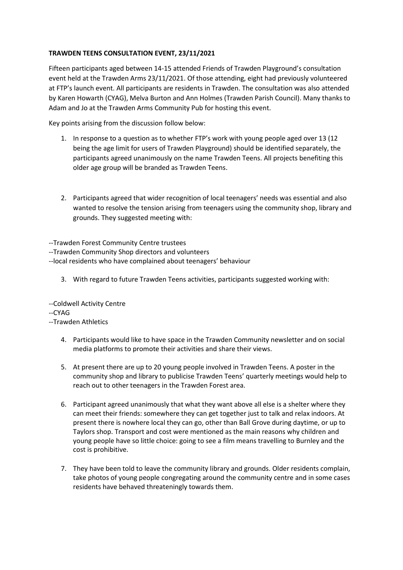## **TRAWDEN TEENS CONSULTATION EVENT, 23/11/2021**

Fifteen participants aged between 14-15 attended Friends of Trawden Playground's consultation event held at the Trawden Arms 23/11/2021. Of those attending, eight had previously volunteered at FTP's launch event. All participants are residents in Trawden. The consultation was also attended by Karen Howarth (CYAG), Melva Burton and Ann Holmes (Trawden Parish Council). Many thanks to Adam and Jo at the Trawden Arms Community Pub for hosting this event.

Key points arising from the discussion follow below:

- 1. In response to a question as to whether FTP's work with young people aged over 13 (12 being the age limit for users of Trawden Playground) should be identified separately, the participants agreed unanimously on the name Trawden Teens. All projects benefiting this older age group will be branded as Trawden Teens.
- 2. Participants agreed that wider recognition of local teenagers' needs was essential and also wanted to resolve the tension arising from teenagers using the community shop, library and grounds. They suggested meeting with:

--Trawden Forest Community Centre trustees

--Trawden Community Shop directors and volunteers

--local residents who have complained about teenagers' behaviour

3. With regard to future Trawden Teens activities, participants suggested working with:

--Coldwell Activity Centre --CYAG

--Trawden Athletics

- 4. Participants would like to have space in the Trawden Community newsletter and on social media platforms to promote their activities and share their views.
- 5. At present there are up to 20 young people involved in Trawden Teens. A poster in the community shop and library to publicise Trawden Teens' quarterly meetings would help to reach out to other teenagers in the Trawden Forest area.
- 6. Participant agreed unanimously that what they want above all else is a shelter where they can meet their friends: somewhere they can get together just to talk and relax indoors. At present there is nowhere local they can go, other than Ball Grove during daytime, or up to Taylors shop. Transport and cost were mentioned as the main reasons why children and young people have so little choice: going to see a film means travelling to Burnley and the cost is prohibitive.
- 7. They have been told to leave the community library and grounds. Older residents complain, take photos of young people congregating around the community centre and in some cases residents have behaved threateningly towards them.